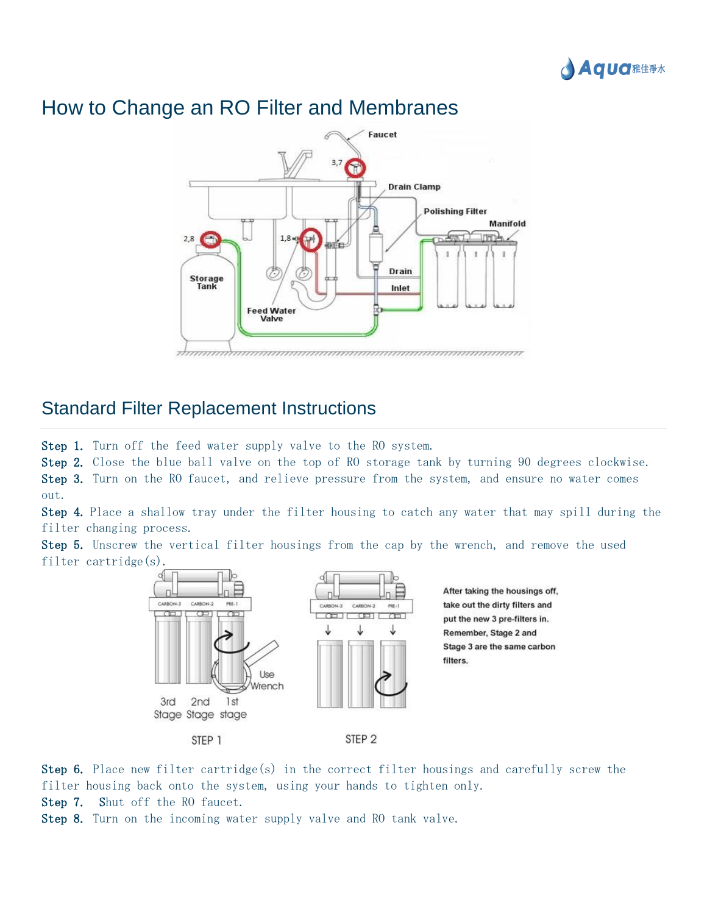

#### Faucet 3.7 **Drain Clamp Polishing Filter Manifold** lino- $28$  $1.8<sub>m</sub>$ 副前 'n Drain Storage<br>Tank Inlet **Feed Water** Valve <del>ummmmmmmmmmmmmmmmmmmmmm</del>

## How to Change an RO Filter and Membranes

### Standard Filter Replacement Instructions

Step 1. Turn off the feed water supply valve to the RO system.

Step 2. Close the blue ball valve on the top of RO storage tank by turning 90 degrees clockwise.

Step 3. Turn on the RO faucet, and relieve pressure from the system, and ensure no water comes out.

Step 4. Place a shallow tray under the filter housing to catch any water that may spill during the filter changing process.

Step 5. Unscrew the vertical filter housings from the cap by the wrench, and remove the used filter cartridge(s).



Step 6. Place new filter cartridge(s) in the correct filter housings and carefully screw the filter housing back onto the system, using your hands to tighten only.

Step 7. Shut off the RO faucet.

Step 8. Turn on the incoming water supply valve and RO tank valve.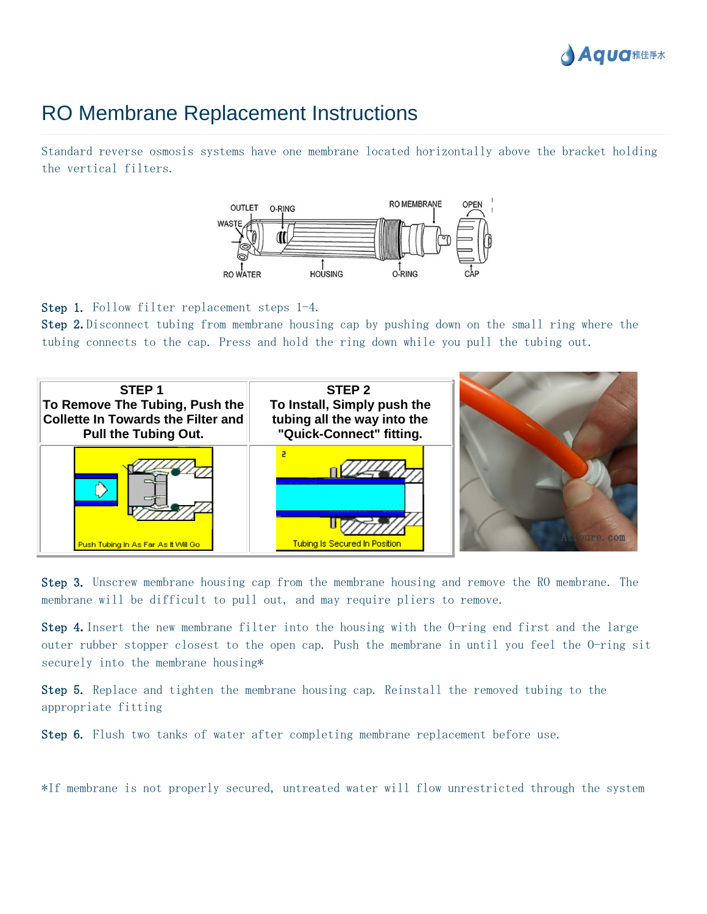

# RO Membrane Replacement Instructions

Standard reverse osmosis systems have one membrane located horizontally above the bracket holding the vertical filters.



Step 1. Follow filter replacement steps 1-4.

Step 2**.** Disconnect tubing from membrane housing cap by pushing down on the small ring where the tubing connects to the cap. Press and hold the ring down while you pull the tubing out.



Step 3. Unscrew membrane housing cap from the membrane housing and remove the RO membrane. The membrane will be difficult to pull out, and may require pliers to remove.

Step 4**.** Insert the new membrane filter into the housing with the O-ring end first and the large outer rubber stopper closest to the open cap. Push the membrane in until you feel the O-ring sit securely into the membrane housing\*

Step 5. Replace and tighten the membrane housing cap. Reinstall the removed tubing to the appropriate fitting

Step 6. Flush two tanks of water after completing membrane replacement before use.

\*If membrane is not properly secured, untreated water will flow unrestricted through the system